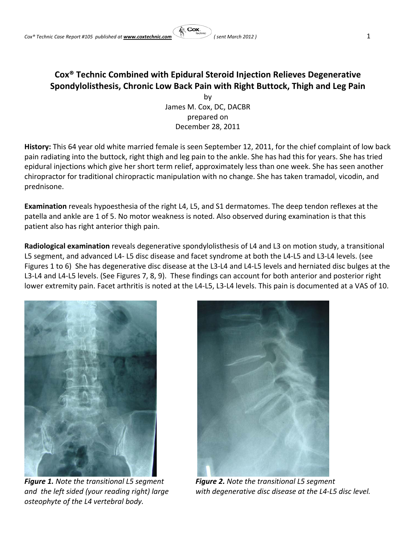## **Cox® Technic Combined with Epidural Steroid Injection Relieves Degenerative Spondylolisthesis, Chronic Low Back Pain with Right Buttock, Thigh and Leg Pain**

意 Cox

by James M. Cox, DC, DACBR prepared on December 28, 2011

**History:** This 64 year old white married female is seen September 12, 2011, for the chief complaint of low back pain radiating into the buttock, right thigh and leg pain to the ankle. She has had this for years. She has tried epidural injections which give her short term relief, approximately less than one week. She has seen another chiropractor for traditional chiropractic manipulation with no change. She has taken tramadol, vicodin, and prednisone.

**Examination** reveals hypoesthesia of the right L4, L5, and S1 dermatomes. The deep tendon reflexes at the patella and ankle are 1 of 5. No motor weakness is noted. Also observed during examination is that this patient also has right anterior thigh pain.

**Radiological examination** reveals degenerative spondylolisthesis of L4 and L3 on motion study, a transitional L5 segment, and advanced L4‐ L5 disc disease and facet syndrome at both the L4‐L5 and L3‐L4 levels. (see Figures 1 to 6) She has degenerative disc disease at the L3‐L4 and L4‐L5 levels and herniated disc bulges at the L3-L4 and L4-L5 levels. (See Figures 7, 8, 9). These findings can account for both anterior and posterior right lower extremity pain. Facet arthritis is noted at the L4-L5, L3-L4 levels. This pain is documented at a VAS of 10.



*osteophyte of the L4 vertebral body.*



 *Figure 1. Note the transitional L5 segment Figure 2. Note the transitional L5 segment* and the left sided (your reading right) large with degenerative disc disease at the L4-L5 disc level.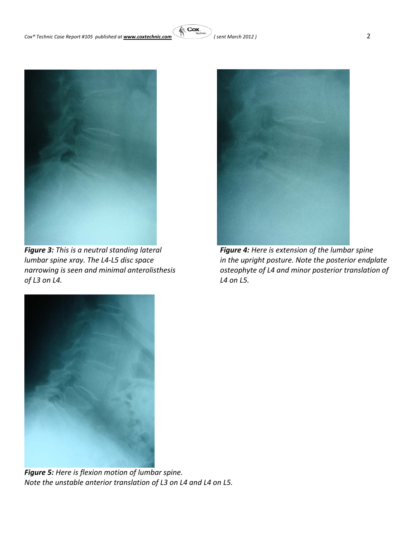

 *Figure 3: This is <sup>a</sup> neutral standing lateral Figure 4: Here is extension of the lumbar spine of L3 on L4. L4 on L5.*



*lumbar spine xray. The L4‐L5 disc space in the upright posture. Note the posterior endplate narrowing is seen and minimal anterolisthesis osteophyte of L4 and minor posterior translation of* 



*Figure 5: Here is flexion motion of lumbar spine. Note the unstable anterior translation of L3 on L4 and L4 on L5.*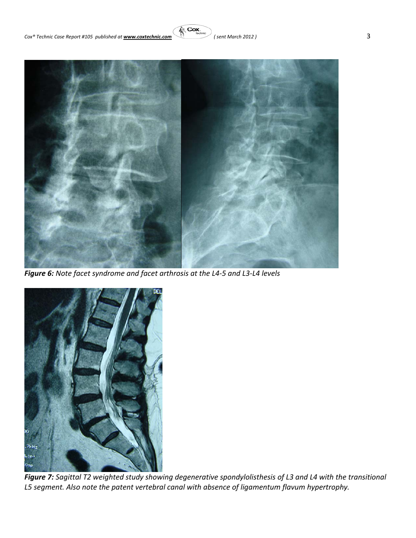



*Figure 6: Note facet syndrome and facet arthrosis at the L4‐5 and L3‐L4 levels*



*Figure 7: Sagittal T2 weighted study showing degenerative spondylolisthesis of L3 and L4 with the transitional L5 segment. Also note the patent vertebral canal with absence of ligamentum flavum hypertrophy.*